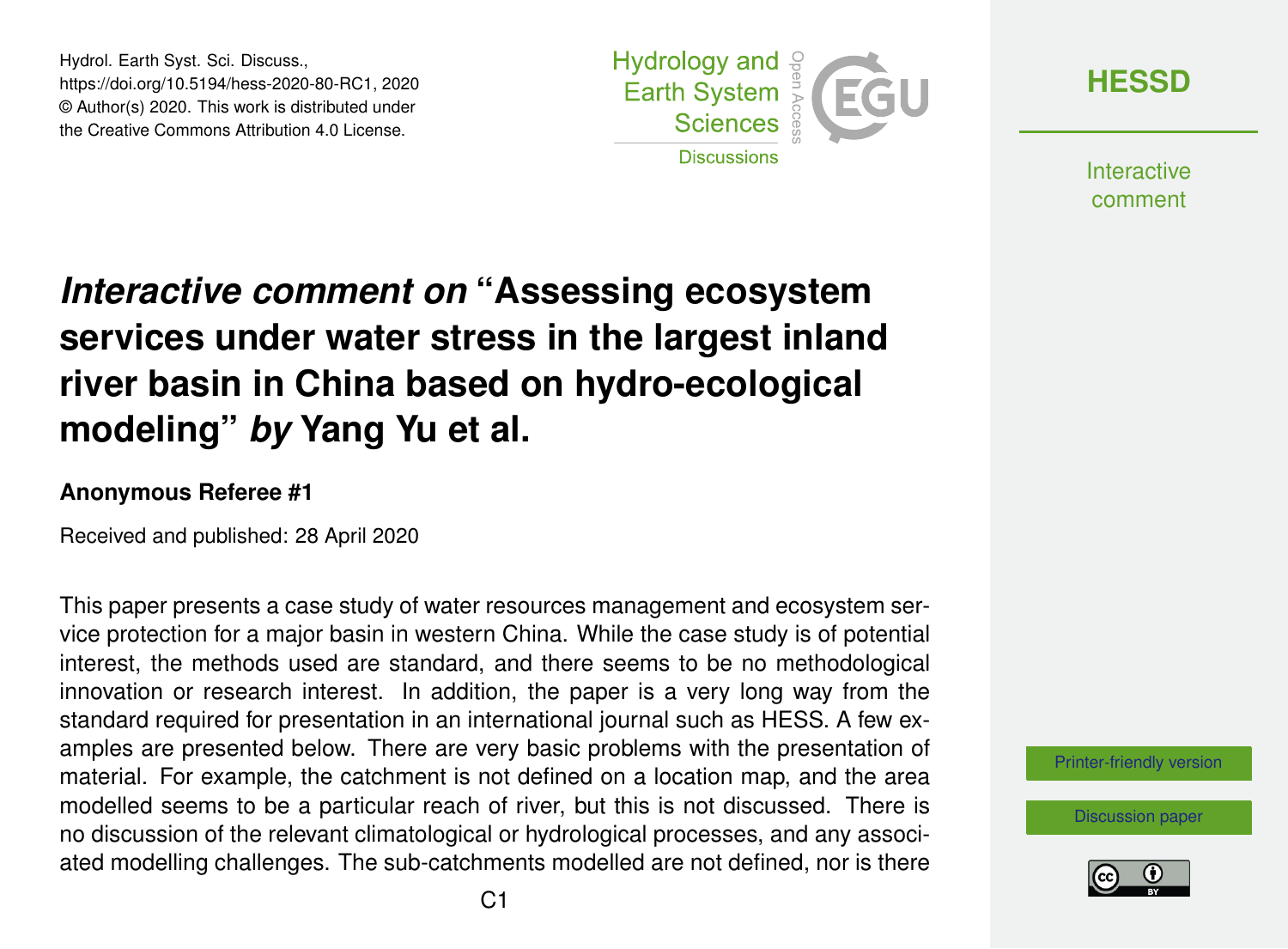Hydrol. Earth Syst. Sci. Discuss., https://doi.org/10.5194/hess-2020-80-RC1, 2020 © Author(s) 2020. This work is distributed under the Creative Commons Attribution 4.0 License.



**[HESSD](https://www.hydrol-earth-syst-sci-discuss.net/)**

**Interactive** comment

## *Interactive comment on* **"Assessing ecosystem services under water stress in the largest inland river basin in China based on hydro-ecological modeling"** *by* **Yang Yu et al.**

## **Anonymous Referee #1**

Received and published: 28 April 2020

This paper presents a case study of water resources management and ecosystem service protection for a major basin in western China. While the case study is of potential interest, the methods used are standard, and there seems to be no methodological innovation or research interest. In addition, the paper is a very long way from the standard required for presentation in an international journal such as HESS. A few examples are presented below. There are very basic problems with the presentation of material. For example, the catchment is not defined on a location map, and the area modelled seems to be a particular reach of river, but this is not discussed. There is no discussion of the relevant climatological or hydrological processes, and any associated modelling challenges. The sub-catchments modelled are not defined, nor is there

[Printer-friendly version](https://www.hydrol-earth-syst-sci-discuss.net/hess-2020-80/hess-2020-80-RC1-print.pdf)

[Discussion paper](https://www.hydrol-earth-syst-sci-discuss.net/hess-2020-80)